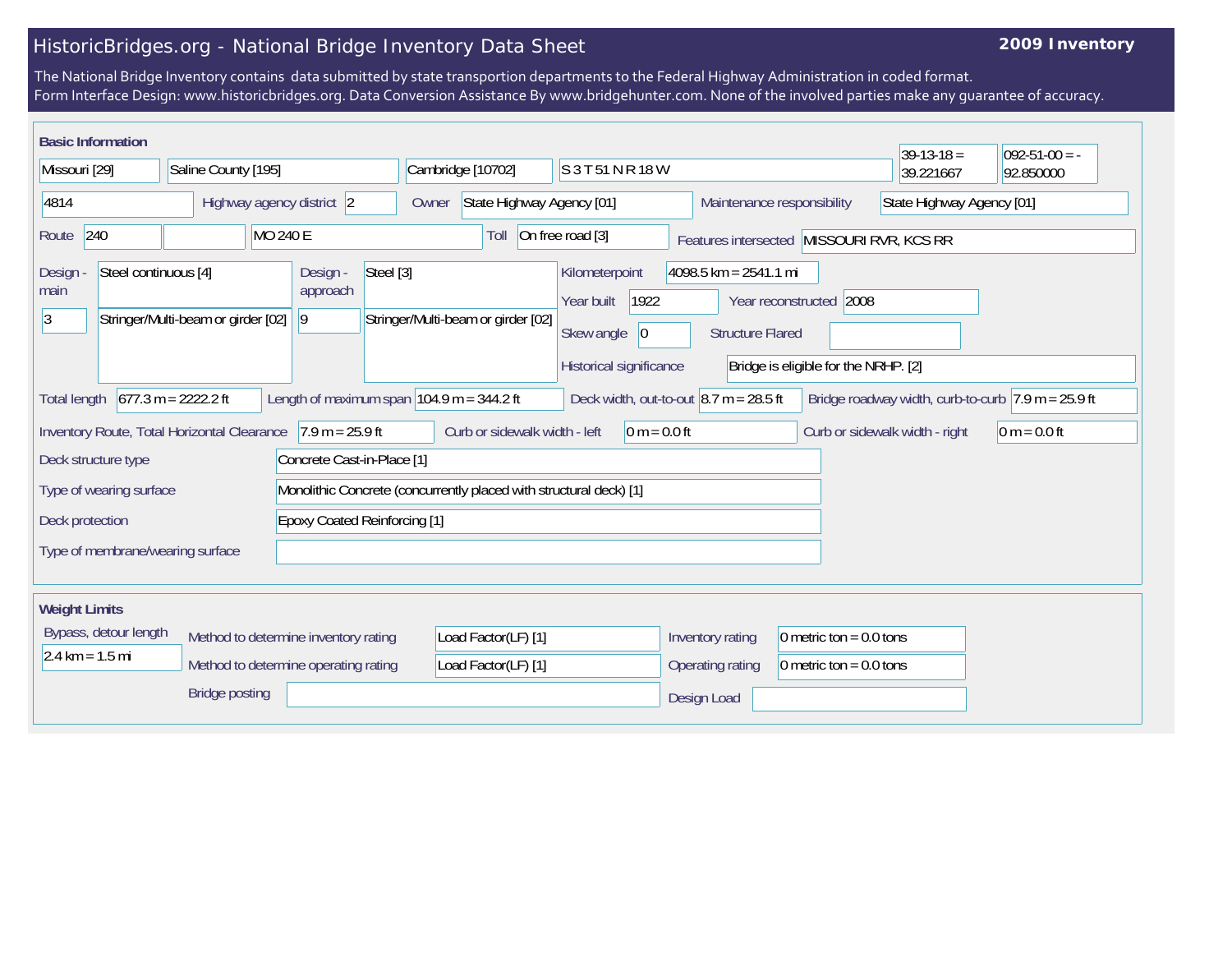## HistoricBridges.org - National Bridge Inventory Data Sheet

## **2009 Inventory**

The National Bridge Inventory contains data submitted by state transportion departments to the Federal Highway Administration in coded format. Form Interface Design: www.historicbridges.org. Data Conversion Assistance By www.bridgehunter.com. None of the involved parties make any guarantee of accuracy.

| <b>Basic Information</b>                                                                      |                                    |                                                                              |                                                                                                     |                                                                                              |                                                            |                                                                 | $39-13-18 =$                   | $092 - 51 - 00 = -$                                                    |
|-----------------------------------------------------------------------------------------------|------------------------------------|------------------------------------------------------------------------------|-----------------------------------------------------------------------------------------------------|----------------------------------------------------------------------------------------------|------------------------------------------------------------|-----------------------------------------------------------------|--------------------------------|------------------------------------------------------------------------|
| Missouri [29]                                                                                 | Saline County [195]                | Cambridge [10702]                                                            |                                                                                                     | S 3 T 51 N R 18 W                                                                            |                                                            |                                                                 | 39.221667                      | 92.850000                                                              |
| 4814                                                                                          | Highway agency district 2          |                                                                              | State Highway Agency [01]<br>Owner                                                                  |                                                                                              | Maintenance responsibility                                 |                                                                 | State Highway Agency [01]      |                                                                        |
| 240<br>Route                                                                                  | <b>MO 240 E</b>                    |                                                                              | Toll                                                                                                | On free road [3]                                                                             |                                                            | Features intersected MISSOURI RVR, KCS RR                       |                                |                                                                        |
| Steel continuous [4]<br>Design -<br>main<br>3                                                 | Stringer/Multi-beam or girder [02] | Steel [3]<br>Design -<br>approach<br>9                                       | Stringer/Multi-beam or girder [02]                                                                  | Kilometerpoint<br>1922<br>Year built<br>Skew angle<br>$ 0\rangle$<br>Historical significance | $4098.5$ km = 2541.1 mi<br><b>Structure Flared</b>         | Year reconstructed 2008<br>Bridge is eligible for the NRHP. [2] |                                |                                                                        |
| <b>Total length</b>                                                                           | $677.3 m = 2222.2 ft$              |                                                                              | Length of maximum span $104.9$ m = 344.2 ft                                                         | Deck width, out-to-out $ 8.7 \text{ m} = 28.5 \text{ ft} $                                   |                                                            |                                                                 |                                | Bridge roadway width, curb-to-curb $ 7.9 \text{ m} = 25.9 \text{ ft} $ |
| Inventory Route, Total Horizontal Clearance<br>Deck structure type<br>Type of wearing surface |                                    | $7.9 m = 25.9 ft$<br>Concrete Cast-in-Place [1]                              | Curb or sidewalk width - left<br>Monolithic Concrete (concurrently placed with structural deck) [1] | $0 m = 0.0 ft$                                                                               |                                                            |                                                                 | Curb or sidewalk width - right | $0 m = 0.0 ft$                                                         |
| Deck protection<br>Type of membrane/wearing surface                                           |                                    | <b>Epoxy Coated Reinforcing [1]</b>                                          |                                                                                                     |                                                                                              |                                                            |                                                                 |                                |                                                                        |
| <b>Weight Limits</b><br>Bypass, detour length<br>$2.4 \text{ km} = 1.5 \text{ mi}$            | <b>Bridge posting</b>              | Method to determine inventory rating<br>Method to determine operating rating | Load Factor(LF) [1]<br>Load Factor(LF) [1]                                                          |                                                                                              | Inventory rating<br><b>Operating rating</b><br>Design Load | 0 metric ton = $0.0$ tons<br>0 metric ton = $0.0$ tons          |                                |                                                                        |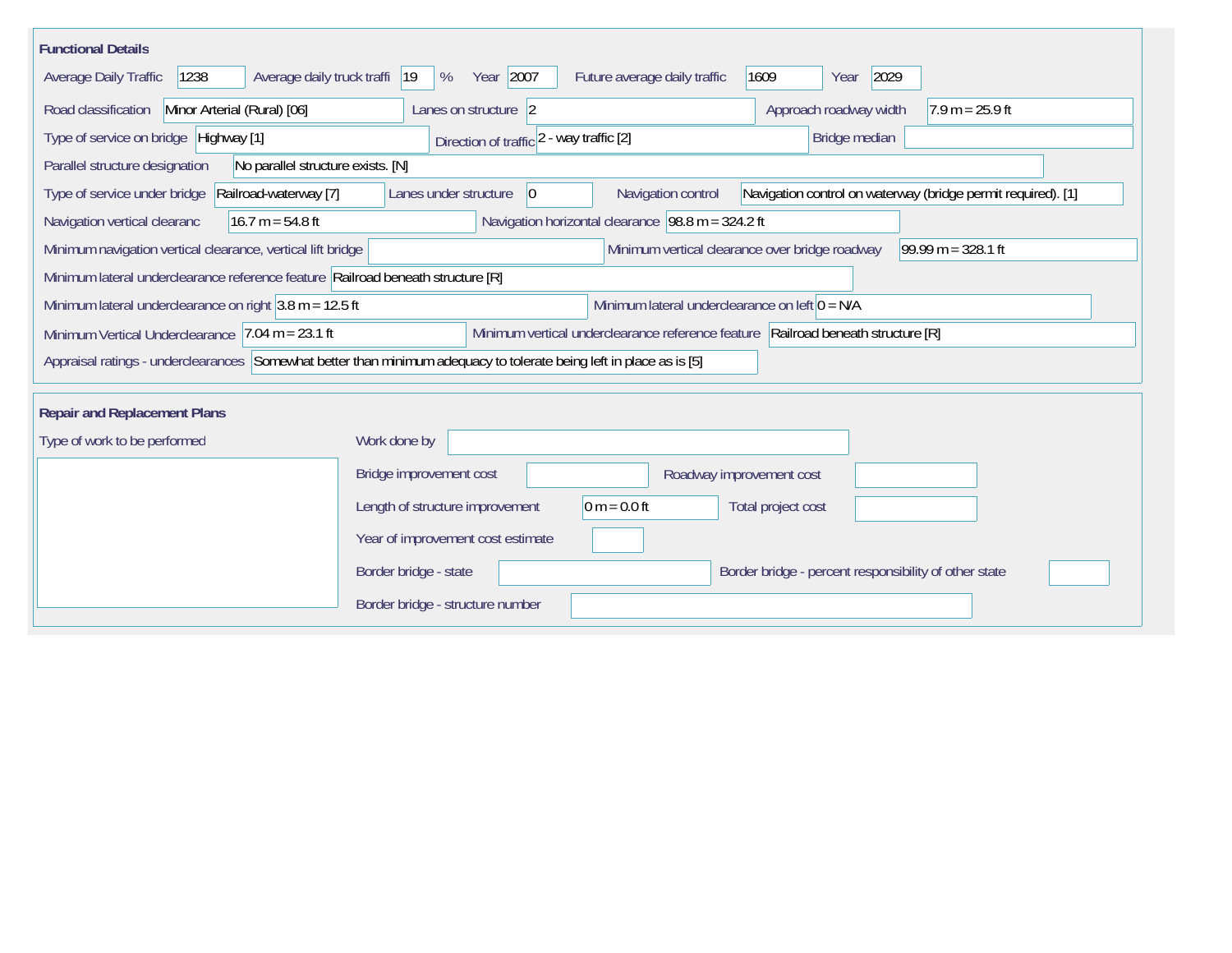| <b>Functional Details</b>                                                                                                                                |                                                                                                                            |  |  |  |  |  |  |  |  |
|----------------------------------------------------------------------------------------------------------------------------------------------------------|----------------------------------------------------------------------------------------------------------------------------|--|--|--|--|--|--|--|--|
| Average daily truck traffi<br><b>Average Daily Traffic</b><br>1238                                                                                       | Year 2007<br>2029<br> 19<br>%<br>Future average daily traffic<br>1609<br>Year                                              |  |  |  |  |  |  |  |  |
| Minor Arterial (Rural) [06]<br>Road classification                                                                                                       | Approach roadway width<br>$7.9 m = 25.9 ft$<br>Lanes on structure 2                                                        |  |  |  |  |  |  |  |  |
| Type of service on bridge Highway [1]                                                                                                                    | Bridge median<br>Direction of traffic 2 - way traffic [2]                                                                  |  |  |  |  |  |  |  |  |
| Parallel structure designation<br>No parallel structure exists. [N]                                                                                      |                                                                                                                            |  |  |  |  |  |  |  |  |
| Type of service under bridge<br>Railroad-waterway [7]                                                                                                    | Navigation control on waterway (bridge permit required). [1]<br>Lanes under structure<br>Navigation control<br>$ 0\rangle$ |  |  |  |  |  |  |  |  |
| Navigation horizontal clearance $98.8 \text{ m} = 324.2 \text{ ft}$<br>$16.7 m = 54.8 ft$<br>Navigation vertical clearanc                                |                                                                                                                            |  |  |  |  |  |  |  |  |
| $99.99 m = 328.1 ft$<br>Minimum navigation vertical clearance, vertical lift bridge<br>Minimum vertical clearance over bridge roadway                    |                                                                                                                            |  |  |  |  |  |  |  |  |
| Minimum lateral underclearance reference feature Railroad beneath structure [R]                                                                          |                                                                                                                            |  |  |  |  |  |  |  |  |
| Minimum lateral underclearance on left $0 = N/A$<br>Minimum lateral underclearance on right $3.8$ m = 12.5 ft                                            |                                                                                                                            |  |  |  |  |  |  |  |  |
| Minimum vertical underclearance reference feature Railroad beneath structure [R]<br>Minimum Vertical Underclearance $ 7.04 \text{ m} = 23.1 \text{ ft} $ |                                                                                                                            |  |  |  |  |  |  |  |  |
| Appraisal ratings - underclearances Somewhat better than minimum adequacy to tolerate being left in place as is [5]                                      |                                                                                                                            |  |  |  |  |  |  |  |  |
| <b>Repair and Replacement Plans</b>                                                                                                                      |                                                                                                                            |  |  |  |  |  |  |  |  |
| Type of work to be performed                                                                                                                             | Work done by                                                                                                               |  |  |  |  |  |  |  |  |
|                                                                                                                                                          | Bridge improvement cost<br>Roadway improvement cost                                                                        |  |  |  |  |  |  |  |  |
|                                                                                                                                                          | Length of structure improvement<br>0 m = $0.0$ ft<br>Total project cost                                                    |  |  |  |  |  |  |  |  |
|                                                                                                                                                          | Year of improvement cost estimate                                                                                          |  |  |  |  |  |  |  |  |
|                                                                                                                                                          | Border bridge - state<br>Border bridge - percent responsibility of other state                                             |  |  |  |  |  |  |  |  |
|                                                                                                                                                          | Border bridge - structure number                                                                                           |  |  |  |  |  |  |  |  |